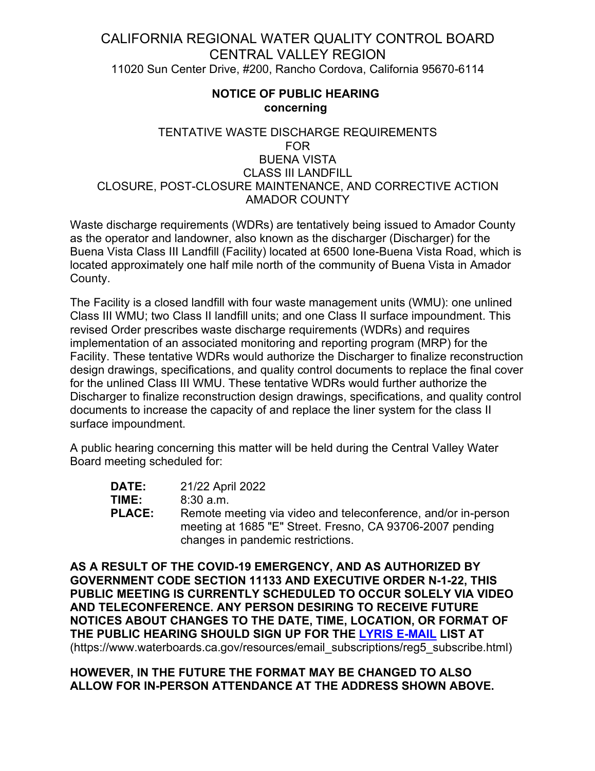## CALIFORNIA REGIONAL WATER QUALITY CONTROL BOARD CENTRAL VALLEY REGION 11020 Sun Center Drive, #200, Rancho Cordova, California 95670-6114

## **NOTICE OF PUBLIC HEARING concerning**

## TENTATIVE WASTE DISCHARGE REQUIREMENTS FOR BUENA VISTA CLASS III LANDFILL CLOSURE, POST-CLOSURE MAINTENANCE, AND CORRECTIVE ACTION AMADOR COUNTY

Waste discharge requirements (WDRs) are tentatively being issued to Amador County as the operator and landowner, also known as the discharger (Discharger) for the Buena Vista Class III Landfill (Facility) located at 6500 Ione-Buena Vista Road, which is located approximately one half mile north of the community of Buena Vista in Amador County.

The Facility is a closed landfill with four waste management units (WMU): one unlined Class III WMU; two Class II landfill units; and one Class II surface impoundment. This revised Order prescribes waste discharge requirements (WDRs) and requires implementation of an associated monitoring and reporting program (MRP) for the Facility. These tentative WDRs would authorize the Discharger to finalize reconstruction design drawings, specifications, and quality control documents to replace the final cover for the unlined Class III WMU. These tentative WDRs would further authorize the Discharger to finalize reconstruction design drawings, specifications, and quality control documents to increase the capacity of and replace the liner system for the class II surface impoundment.

A public hearing concerning this matter will be held during the Central Valley Water Board meeting scheduled for:

**DATE:** 21/22 April 2022 **TIME:** 8:30 a.m.<br>**PLACE:** Remote m Remote meeting via video and teleconference, and/or in-person meeting at 1685 "E" Street. Fresno, CA 93706-2007 pending changes in pandemic restrictions.

**AS A RESULT OF THE COVID-19 EMERGENCY, AND AS AUTHORIZED BY GOVERNMENT CODE SECTION 11133 AND EXECUTIVE ORDER N-1-22, THIS PUBLIC MEETING IS CURRENTLY SCHEDULED TO OCCUR SOLELY VIA VIDEO AND TELECONFERENCE. ANY PERSON DESIRING TO RECEIVE FUTURE NOTICES ABOUT CHANGES TO THE DATE, TIME, LOCATION, OR FORMAT OF THE PUBLIC HEARING SHOULD SIGN UP FOR THE [LYRIS E-MAIL](C:\Users\Gjain\Desktop\Martell\Tentative WDRs\(https:\www.waterboards.ca.gov\resources\email_subscriptions\reg5_subscribe.html)) LIST AT**  (https://www.waterboards.ca.gov/resources/email\_subscriptions/reg5\_subscribe.html)

## **HOWEVER, IN THE FUTURE THE FORMAT MAY BE CHANGED TO ALSO ALLOW FOR IN-PERSON ATTENDANCE AT THE ADDRESS SHOWN ABOVE.**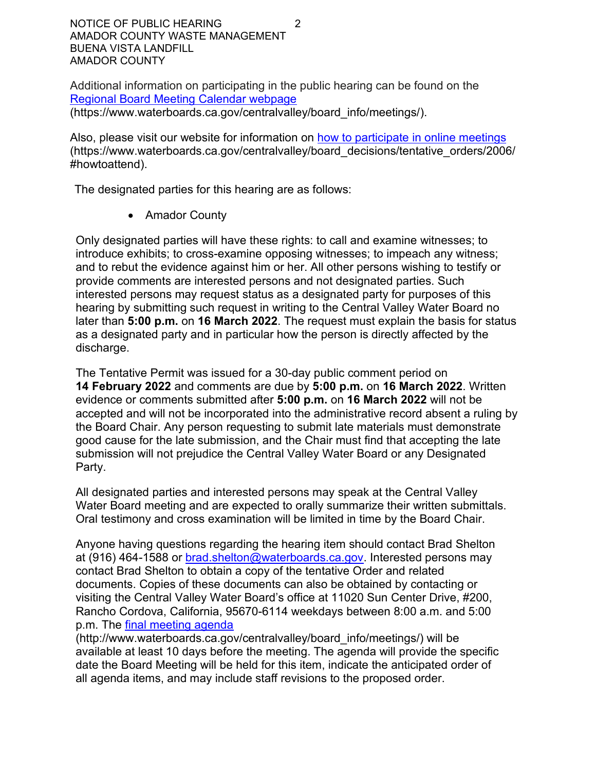NOTICE OF PUBLIC HEARING 2 AMADOR COUNTY WASTE MANAGEMENT BUENA VISTA LANDFILL AMADOR COUNTY

Additional information on participating in the public hearing can be found on the Regional Board Meeting [Calendar](https://www.waterboards.ca.gov/centralvalley/board_info/meetings/) webpage (https://www.waterboards.ca.gov/centralvalley/board\_info/meetings/).

Also, please visit our website for information on [how to participate in online](https://www.waterboards.ca.gov/centralvalley/board_decisions/tentative_orders/2006/#howtoattend) meetings (https://www.waterboards.ca.gov/centralvalley/board\_decisions/tentative\_orders/2006/ #howtoattend).

The designated parties for this hearing are as follows:

· Amador County

Only designated parties will have these rights: to call and examine witnesses; to introduce exhibits; to cross-examine opposing witnesses; to impeach any witness; and to rebut the evidence against him or her. All other persons wishing to testify or provide comments are interested persons and not designated parties. Such interested persons may request status as a designated party for purposes of this hearing by submitting such request in writing to the Central Valley Water Board no later than **5:00 p.m.** on **16 March 2022**. The request must explain the basis for status as a designated party and in particular how the person is directly affected by the discharge.

The Tentative Permit was issued for a 30-day public comment period on **14 February 2022** and comments are due by **5:00 p.m.** on **16 March 2022**. Written evidence or comments submitted after **5:00 p.m.** on **16 March 2022** will not be accepted and will not be incorporated into the administrative record absent a ruling by the Board Chair. Any person requesting to submit late materials must demonstrate good cause for the late submission, and the Chair must find that accepting the late submission will not prejudice the Central Valley Water Board or any Designated Party.

All designated parties and interested persons may speak at the Central Valley Water Board meeting and are expected to orally summarize their written submittals. Oral testimony and cross examination will be limited in time by the Board Chair.

Anyone having questions regarding the hearing item should contact Brad Shelton at (916) 464-1588 or [brad.shelton@waterboards.ca.gov](mailto:brad.shelton@waterboards.ca.gov). Interested persons may contact Brad Shelton to obtain a copy of the tentative Order and related documents. Copies of these documents can also be obtained by contacting or visiting the Central Valley Water Board's office at 11020 Sun Center Drive, #200, Rancho Cordova, California, 95670-6114 weekdays between 8:00 a.m. and 5:00 p.m. The [final meeting agenda](http://www.waterboards.ca.gov/centralvalley/board_info/meetings/)

(http://www.waterboards.ca.gov/centralvalley/board\_info/meetings/) will be available at least 10 days before the meeting. The agenda will provide the specific date the Board Meeting will be held for this item, indicate the anticipated order of all agenda items, and may include staff revisions to the proposed order.